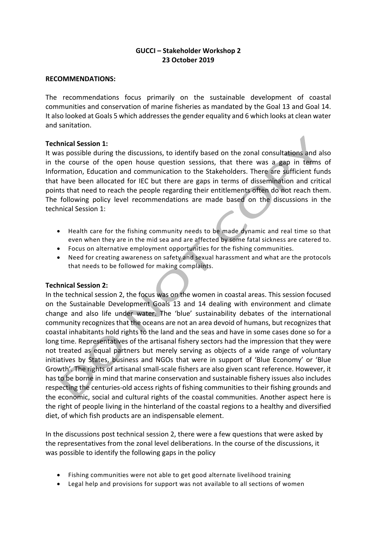# **GUCCI – Stakeholder Workshop 2 23 October 2019**

### **RECOMMENDATIONS:**

The recommendations focus primarily on the sustainable development of coastal communities and conservation of marine fisheries as mandated by the Goal 13 and Goal 14. It also looked at Goals 5 which addresses the gender equality and 6 which looks at clean water and sanitation.

### **Technical Session 1:**

It was possible during the discussions, to identify based on the zonal consultations and also in the course of the open house question sessions, that there was a gap in terms of Information, Education and communication to the Stakeholders. There are sufficient funds that have been allocated for IEC but there are gaps in terms of dissemination and critical points that need to reach the people regarding their entitlements often do not reach them. The following policy level recommendations are made based on the discussions in the technical Session 1:

- Health care for the fishing community needs to be made dynamic and real time so that even when they are in the mid sea and are affected by some fatal sickness are catered to.
- Focus on alternative employment opportunities for the fishing communities.
- Need for creating awareness on safety and sexual harassment and what are the protocols that needs to be followed for making complaints.

### **Technical Session 2:**

In the technical session 2, the focus was on the women in coastal areas. This session focused on the Sustainable Development Goals 13 and 14 dealing with environment and climate change and also life under water. The 'blue' sustainability debates of the international community recognizes that the oceans are not an area devoid of humans, but recognizes that coastal inhabitants hold rights to the land and the seas and have in some cases done so for a long time. Representatives of the artisanal fishery sectors had the impression that they were not treated as equal partners but merely serving as objects of a wide range of voluntary initiatives by States, business and NGOs that were in support of 'Blue Economy' or 'Blue Growth'. The rights of artisanal small-scale fishers are also given scant reference. However, it has to be borne in mind that marine conservation and sustainable fishery issues also includes respecting the centuries-old access rights of fishing communities to their fishing grounds and the economic, social and cultural rights of the coastal communities. Another aspect here is the right of people living in the hinterland of the coastal regions to a healthy and diversified diet, of which fish products are an indispensable element.

In the discussions post technical session 2, there were a few questions that were asked by the representatives from the zonal level deliberations. In the course of the discussions, it was possible to identify the following gaps in the policy

- Fishing communities were not able to get good alternate livelihood training
- Legal help and provisions for support was not available to all sections of women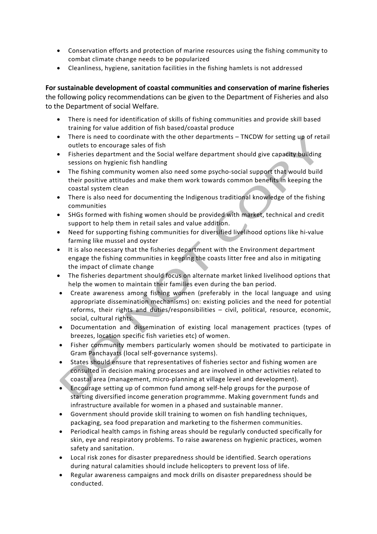- Conservation efforts and protection of marine resources using the fishing community to combat climate change needs to be popularized
- Cleanliness, hygiene, sanitation facilities in the fishing hamlets is not addressed

For sustainable development of coastal communities and conservation of marine fisheries the following policy recommendations can be given to the Department of Fisheries and also to the Department of social Welfare.

- There is need for identification of skills of fishing communities and provide skill based training for value addition of fish based/coastal produce
- There is need to coordinate with the other departments TNCDW for setting up of retail outlets to encourage sales of fish
- Fisheries department and the Social welfare department should give capacity building sessions on hygienic fish handling
- The fishing community women also need some psycho-social support that would build their positive attitudes and make them work towards common benefits in keeping the coastal system clean
- There is also need for documenting the Indigenous traditional knowledge of the fishing communities
- SHGs formed with fishing women should be provided with market, technical and credit support to help them in retail sales and value addition.
- Need for supporting fishing communities for diversified livelihood options like hi-value farming like mussel and oyster
- It is also necessary that the fisheries department with the Environment department engage the fishing communities in keeping the coasts litter free and also in mitigating the impact of climate change
- The fisheries department should focus on alternate market linked livelihood options that help the women to maintain their families even during the ban period.
- Create awareness among fishing women (preferably in the local language and using appropriate dissemination mechanisms) on: existing policies and the need for potential reforms, their rights and duties/responsibilities - civil, political, resource, economic, social, cultural rights.
- Documentation and dissemination of existing local management practices (types of breezes, location specific fish varieties etc) of women.
- Fisher community members particularly women should be motivated to participate in Gram Panchayats (local self-governance systems).
- States should ensure that representatives of fisheries sector and fishing women are consulted in decision making processes and are involved in other activities related to coastal area (management, micro-planning at village level and development).
- Encourage setting up of common fund among self-help groups for the purpose of starting diversified income generation programmme. Making government funds and infrastructure available for women in a phased and sustainable manner.
- Government should provide skill training to women on fish handling techniques, packaging, sea food preparation and marketing to the fishermen communities.
- Periodical health camps in fishing areas should be regularly conducted specifically for skin, eye and respiratory problems. To raise awareness on hygienic practices, women safety and sanitation.
- Local risk zones for disaster preparedness should be identified. Search operations during natural calamities should include helicopters to prevent loss of life.
- Regular awareness campaigns and mock drills on disaster preparedness should be conducted.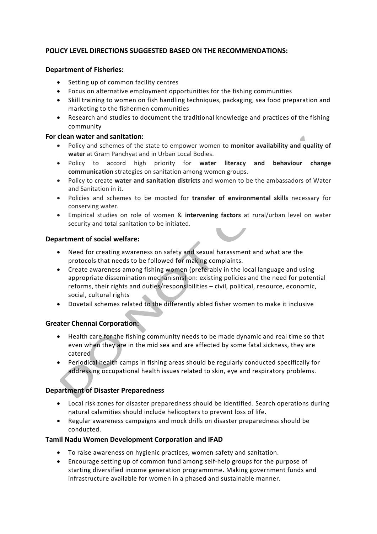## **POLICY LEVEL DIRECTIONS SUGGESTED BASED ON THE RECOMMENDATIONS:**

### **Department of Fisheries:**

- Setting up of common facility centres
- Focus on alternative employment opportunities for the fishing communities
- Skill training to women on fish handling techniques, packaging, sea food preparation and marketing to the fishermen communities
- Research and studies to document the traditional knowledge and practices of the fishing community

### **For clean water and sanitation:**

- Policy and schemes of the state to empower women to **monitor availability and quality of water** at Gram Panchyat and in Urban Local Bodies.
- Policy to accord high priority for water literacy and behaviour change **communication** strategies on sanitation among women groups.
- Policy to create **water and sanitation districts** and women to be the ambassadors of Water and Sanitation in it.
- Policies and schemes to be mooted for transfer of environmental skills necessary for conserving water.
- Empirical studies on role of women & **intervening factors** at rural/urban level on water security and total sanitation to be initiated.

### **Department of social welfare:**

- Need for creating awareness on safety and sexual harassment and what are the protocols that needs to be followed for making complaints.
- Create awareness among fishing women (preferably in the local language and using appropriate dissemination mechanisms) on: existing policies and the need for potential reforms, their rights and duties/responsibilities - civil, political, resource, economic, social, cultural rights
- Dovetail schemes related to the differently abled fisher women to make it inclusive

# **Greater Chennai Corporation:**

- Health care for the fishing community needs to be made dynamic and real time so that even when they are in the mid sea and are affected by some fatal sickness, they are catered
- Periodical health camps in fishing areas should be regularly conducted specifically for addressing occupational health issues related to skin, eye and respiratory problems.

### **Department of Disaster Preparedness**

- Local risk zones for disaster preparedness should be identified. Search operations during natural calamities should include helicopters to prevent loss of life.
- Regular awareness campaigns and mock drills on disaster preparedness should be conducted.

### **Tamil Nadu Women Development Corporation and IFAD**

- To raise awareness on hygienic practices, women safety and sanitation.
- Encourage setting up of common fund among self-help groups for the purpose of starting diversified income generation programmme. Making government funds and infrastructure available for women in a phased and sustainable manner.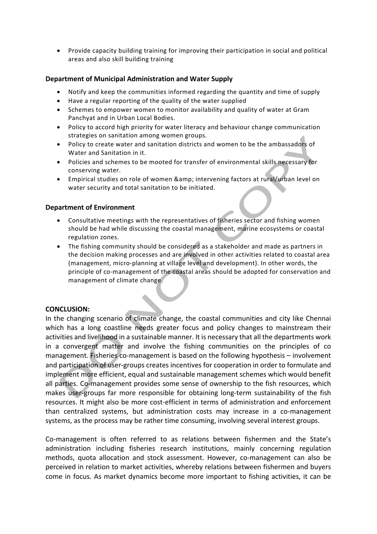• Provide capacity building training for improving their participation in social and political areas and also skill building training

#### **Department of Municipal Administration and Water Supply**

- Notify and keep the communities informed regarding the quantity and time of supply
- Have a regular reporting of the quality of the water supplied
- Schemes to empower women to monitor availability and quality of water at Gram Panchyat and in Urban Local Bodies.
- Policy to accord high priority for water literacy and behaviour change communication strategies on sanitation among women groups.
- Policy to create water and sanitation districts and women to be the ambassadors of Water and Sanitation in it.
- Policies and schemes to be mooted for transfer of environmental skills necessary for conserving water.
- Empirical studies on role of women & amp; intervening factors at rural/urban level on water security and total sanitation to be initiated.

#### **Department of Environment**

- Consultative meetings with the representatives of fisheries sector and fishing women should be had while discussing the coastal management, marine ecosystems or coastal regulation zones.
- The fishing community should be considered as a stakeholder and made as partners in the decision making processes and are involved in other activities related to coastal area (management, micro-planning at village level and development). In other words, the principle of co-management of the coastal areas should be adopted for conservation and management of climate change.

#### **CONCLUSION:**

In the changing scenario of climate change, the coastal communities and city like Chennai which has a long coastline needs greater focus and policy changes to mainstream their activities and livelihood in a sustainable manner. It is necessary that all the departments work in a convergent matter and involve the fishing communities on the principles of co management. Fisheries co-management is based on the following hypothesis  $-$  involvement and participation of user-groups creates incentives for cooperation in order to formulate and implement more efficient, equal and sustainable management schemes which would benefit all parties. Co-management provides some sense of ownership to the fish resources, which makes user-groups far more responsible for obtaining long-term sustainability of the fish resources. It might also be more cost-efficient in terms of administration and enforcement than centralized systems, but administration costs may increase in a co-management systems, as the process may be rather time consuming, involving several interest groups.

Co-management is often referred to as relations between fishermen and the State's administration including fisheries research institutions, mainly concerning regulation methods, quota allocation and stock assessment. However, co-management can also be perceived in relation to market activities, whereby relations between fishermen and buyers come in focus. As market dynamics become more important to fishing activities, it can be